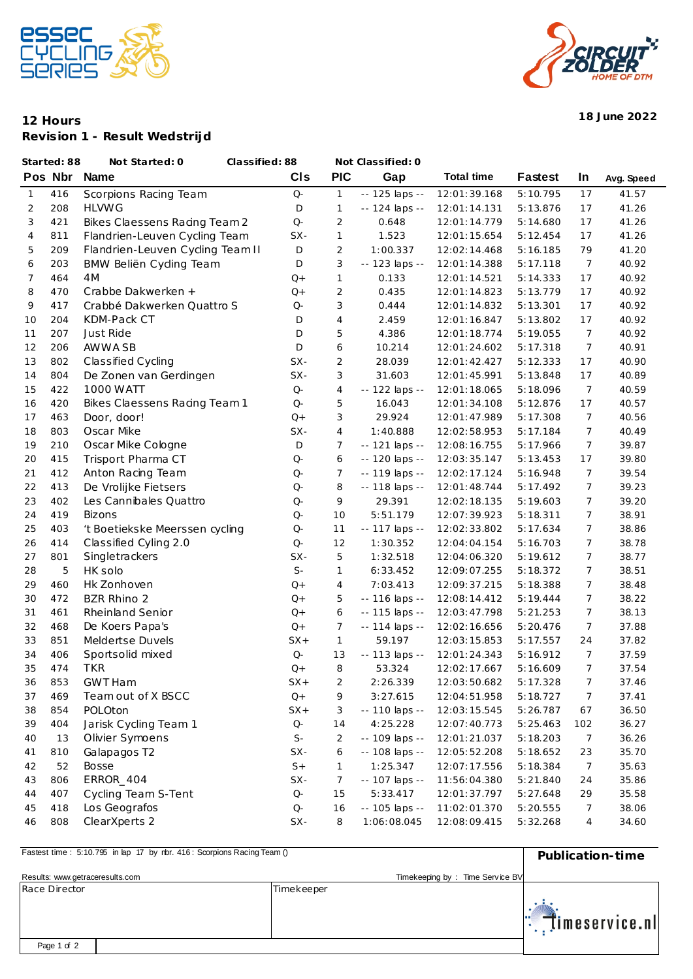



## **12 Hours 18 June 2022 Revision 1 - Result Wedstrijd**

| Started: 88 |         | Not Started: 0                  | Classified: 88       |                | Not Classified: 0 |                   |                |                  |            |
|-------------|---------|---------------------------------|----------------------|----------------|-------------------|-------------------|----------------|------------------|------------|
|             | Pos Nbr | <b>Name</b>                     | CIS                  | <b>PIC</b>     | Gap               | <b>Total time</b> | <b>Fastest</b> | In               | Avg. Speed |
| 1           | 416     | Scorpions Racing Team           | $Q-$                 | $\mathbf{1}$   | -- 125 laps --    | 12:01:39.168      | 5:10.795       | 17               | 41.57      |
| 2           | 208     | <b>HLVWG</b>                    | D                    | $\mathbf{1}$   | -- 124 laps --    | 12:01:14.131      | 5:13.876       | 17               | 41.26      |
| 3           | 421     | Bikes Claessens Racing Team 2   | $Q-$                 | 2              | 0.648             | 12:01:14.779      | 5:14.680       | 17               | 41.26      |
| 4           | 811     | Flandrien-Leuven Cycling Team   | SX-                  | $\mathbf{1}$   | 1.523             | 12:01:15.654      | 5:12.454       | 17               | 41.26      |
| 5           | 209     | Flandrien-Leuven Cyding Team II | $\mathsf D$          | $\overline{2}$ | 1:00.337          | 12:02:14.468      | 5:16.185       | 79               | 41.20      |
| 6           | 203     | BMW Beliën Cyding Team          | D                    | 3              | -- 123 laps --    | 12:01:14.388      | 5:17.118       | 7                | 40.92      |
| 7           | 464     | 4M                              | $Q+$                 | $\mathbf{1}$   | 0.133             | 12:01:14.521      | 5:14.333       | 17               | 40.92      |
| 8           | 470     | Crabbe Dakwerken +              | $Q+$                 | $\overline{2}$ | 0.435             | 12:01:14.823      | 5:13.779       | 17               | 40.92      |
| 9           | 417     | Crabbé Dakwerken Quattro S      | $Q-$                 | 3              | 0.444             | 12:01:14.832      | 5:13.301       | 17               | 40.92      |
| 10          | 204     | KDM-Pack CT                     | D                    | $\overline{4}$ | 2.459             | 12:01:16.847      | 5:13.802       | 17               | 40.92      |
| 11          | 207     | Just Ride                       | D                    | 5              | 4.386             | 12:01:18.774      | 5:19.055       | 7                | 40.92      |
| 12          | 206     | AWWA SB                         | D                    | 6              | 10.214            | 12:01:24.602      | 5:17.318       | 7                | 40.91      |
| 13          | 802     | Classified Cycling              | $SX-$                | $\overline{2}$ | 28.039            | 12:01:42.427      | 5:12.333       | 17               | 40.90      |
| 14          | 804     | De Zonen van Gerdingen          | $SX-$                | 3              | 31.603            | 12:01:45.991      | 5:13.848       | 17               | 40.89      |
| 15          | 422     | 1000 WATT                       | $Q-$                 | 4              | -- 122 laps --    | 12:01:18.065      | 5:18.096       | 7                | 40.59      |
| 16          | 420     | Bikes Claessens Racing Team 1   | $Q-$                 | 5              | 16.043            | 12:01:34.108      | 5:12.876       | 17               | 40.57      |
| 17          | 463     | Door, door!                     | $Q+$                 | 3              | 29.924            | 12:01:47.989      | 5:17.308       | 7                | 40.56      |
| 18          | 803     | Oscar Mike                      | SX-                  | $\overline{4}$ | 1:40.888          | 12:02:58.953      | 5:17.184       | $\overline{7}$   | 40.49      |
| 19          | 210     | Oscar Mike Cologne              | D                    | 7              | -- 121 laps --    | 12:08:16.755      | 5:17.966       | 7                | 39.87      |
| 20          | 415     | Trisport Pharma CT              | $Q-$                 | 6              | -- 120 laps --    | 12:03:35.147      | 5:13.453       | 17               | 39.80      |
| 21          | 412     | Anton Racing Team               | $Q-$                 | 7              | -- 119 laps --    | 12:02:17.124      | 5:16.948       | 7                | 39.54      |
| 22          | 413     | De Vrolijke Fietsers            | $Q-$                 | 8              | -- 118 laps --    | 12:01:48.744      | 5:17.492       | 7                | 39.23      |
| 23          | 402     | Les Cannibales Quattro          | $Q-$                 | 9              | 29.391            | 12:02:18.135      | 5:19.603       | 7                | 39.20      |
| 24          | 419     | <b>Bizons</b>                   | $Q-$                 | 10             | 5:51.179          | 12:07:39.923      | 5:18.311       | 7                | 38.91      |
| 25          | 403     | 't Boetiekske Meerssen cycling  | $Q-$                 | 11             | -- 117 laps --    | 12:02:33.802      | 5:17.634       | 7                | 38.86      |
| 26          | 414     | Classified Cyling 2.0           | $Q-$                 | 12             | 1:30.352          | 12:04:04.154      | 5:16.703       | 7                | 38.78      |
| 27          | 801     | Singletrackers                  | SX-                  | 5              | 1:32.518          | 12:04:06.320      | 5:19.612       | 7                | 38.77      |
| 28          | 5       | HK solo                         | $\mathsf{S}\text{-}$ | $\mathbf{1}$   | 6:33.452          | 12:09:07.255      | 5:18.372       | 7                | 38.51      |
| 29          | 460     | Hk Zonhoven                     | $Q+$                 | $\overline{4}$ | 7:03.413          | 12:09:37.215      | 5:18.388       | 7                | 38.48      |
| 30          | 472     | <b>BZR Rhino 2</b>              | $Q+$                 | 5              | -- 116 laps --    | 12:08:14.412      | 5:19.444       | 7                | 38.22      |
| 31          | 461     | Rheinland Senior                | $Q+$                 | 6              | -- 115 laps --    | 12:03:47.798      | 5:21.253       | 7                | 38.13      |
| 32          | 468     | De Koers Papa's                 | $Q+$                 | 7              | -- 114 laps --    | 12:02:16.656      | 5:20.476       | 7                | 37.88      |
| 33          | 851     | Meldertse Duvels                | $SX +$               | $\mathbf{1}$   | 59.197            | 12:03:15.853      | 5:17.557       | 24               | 37.82      |
| 34          | 406     | Sportsolid mixed                | $Q-$                 | 13             | -- 113 laps --    | 12:01:24.343      | 5:16.912       | 7                | 37.59      |
| 35          | 474     | TKR                             | $Q+$                 | 8              | 53.324            | 12:02:17.667      | 5:16.609       | 7                | 37.54      |
| 36          | 853     | <b>GWT Ham</b>                  | $SX +$               | $\overline{2}$ | 2:26.339          | 12:03:50.682      | 5:17.328       | $\boldsymbol{7}$ | 37.46      |
| 37          | 469     | Team out of X BSCC              | $Q+$                 | 9              | 3:27.615          | 12:04:51.958      | 5:18.727       | 7                | 37.41      |
| 38          | 854     | POLOton                         | $SX +$               | 3              | -- 110 laps --    | 12:03:15.545      | 5:26.787       | 67               | 36.50      |
| 39          | 404     | Jarisk Cycling Team 1           | $\mathsf{Q}\text{-}$ | 14             | 4:25.228          | 12:07:40.773      | 5:25.463       | 102              | 36.27      |
| 40          | 13      | Olivier Symoens                 | $\mathsf{S}\text{-}$ | $\overline{2}$ | -- 109 laps --    | 12:01:21.037      | 5:18.203       | 7                | 36.26      |
| 41          | 810     | Galapagos T2                    | SX-                  | 6              | -- 108 laps --    | 12:05:52.208      | 5:18.652       | 23               | 35.70      |
| 42          | 52      | <b>Bosse</b>                    | $S+$                 | $\mathbf{1}$   | 1:25.347          | 12:07:17.556      | 5:18.384       | 7                | 35.63      |
| 43          | 806     | ERROR_404                       | SX-                  | 7              | -- 107 laps --    | 11:56:04.380      | 5:21.840       | 24               | 35.86      |
| 44          | 407     | Cycling Team S-Tent             | $\mathsf{Q}\text{-}$ | 15             | 5:33.417          | 12:01:37.797      | 5:27.648       | 29               | 35.58      |
| 45          | 418     | Los Geografos                   | $\mathsf{Q}\text{-}$ | 16             | -- 105 laps --    | 11:02:01.370      | 5:20.555       | 7                | 38.06      |
| 46          | 808     | ClearXperts 2                   | $SX-$                | 8              | 1:06:08.045       | 12:08:09.415      | 5:32.268       | 4                | 34.60      |
|             |         |                                 |                      |                |                   |                   |                |                  |            |

**Pastest time : 5:10.795 in lap 17 by nbr. 416 : Scorpions Racing Team () Publication-time** 

|                                 | PUDICATION-MILE |                                 |                    |
|---------------------------------|-----------------|---------------------------------|--------------------|
| Results: www.getraceresults.com |                 | Timekeeping by: Time Service BV |                    |
| Race Director                   | Timekeeper      |                                 |                    |
|                                 |                 |                                 | timeservice.nl<br> |
| Page 1 of 2                     |                 |                                 |                    |